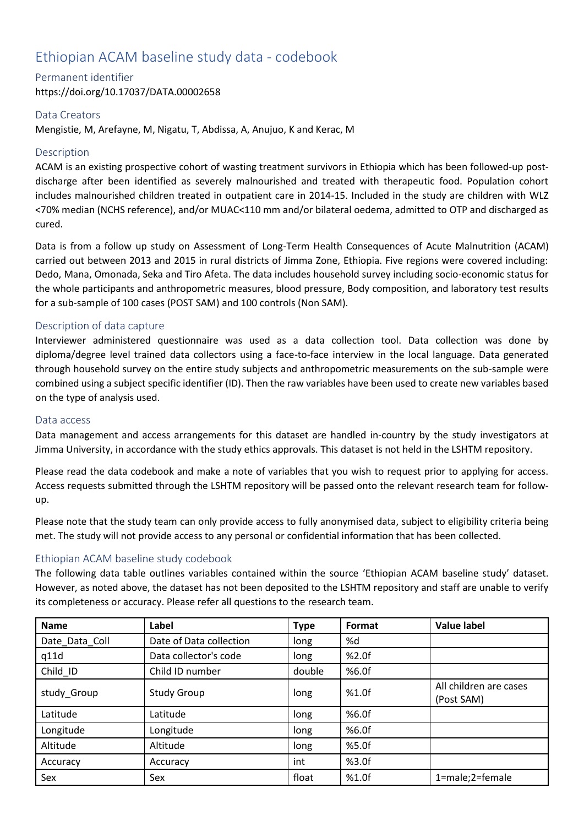# Ethiopian ACAM baseline study data - codebook

#### Permanent identifier

https://doi.org/10.17037/DATA.00002658

## Data Creators

Mengistie, M, Arefayne, M, Nigatu, T, Abdissa, A, Anujuo, K and Kerac, M

# **Description**

ACAM is an existing prospective cohort of wasting treatment survivors in Ethiopia which has been followed-up postdischarge after been identified as severely malnourished and treated with therapeutic food. Population cohort includes malnourished children treated in outpatient care in 2014-15. Included in the study are children with WLZ <70% median (NCHS reference), and/or MUAC<110 mm and/or bilateral oedema, admitted to OTP and discharged as cured.

Data is from a follow up study on Assessment of Long-Term Health Consequences of Acute Malnutrition (ACAM) carried out between 2013 and 2015 in rural districts of Jimma Zone, Ethiopia. Five regions were covered including: Dedo, Mana, Omonada, Seka and Tiro Afeta. The data includes household survey including socio-economic status for the whole participants and anthropometric measures, blood pressure, Body composition, and laboratory test results for a sub-sample of 100 cases (POST SAM) and 100 controls (Non SAM).

# Description of data capture

Interviewer administered questionnaire was used as a data collection tool. Data collection was done by diploma/degree level trained data collectors using a face-to-face interview in the local language. Data generated through household survey on the entire study subjects and anthropometric measurements on the sub-sample were combined using a subject specific identifier (ID). Then the raw variables have been used to create new variables based on the type of analysis used.

## Data access

Data management and access arrangements for this dataset are handled in-country by the study investigators at Jimma University, in accordance with the study ethics approvals. This dataset is not held in the LSHTM repository.

Please read the data codebook and make a note of variables that you wish to request prior to applying for access. Access requests submitted through the LSHTM repository will be passed onto the relevant research team for followup.

Please note that the study team can only provide access to fully anonymised data, subject to eligibility criteria being met. The study will not provide access to any personal or confidential information that has been collected.

## Ethiopian ACAM baseline study codebook

The following data table outlines variables contained within the source 'Ethiopian ACAM baseline study' dataset. However, as noted above, the dataset has not been deposited to the LSHTM repository and staff are unable to verify its completeness or accuracy. Please refer all questions to the research team.

| Name           | Label                   | <b>Type</b> | Format | <b>Value label</b>                   |
|----------------|-------------------------|-------------|--------|--------------------------------------|
| Date Data Coll | Date of Data collection | long        | %d     |                                      |
| q11d           | Data collector's code   | long        | %2.0f  |                                      |
| Child ID       | Child ID number         | double      | %6.0f  |                                      |
| study Group    | <b>Study Group</b>      | long        | %1.0f  | All children are cases<br>(Post SAM) |
| Latitude       | Latitude                | long        | %6.0f  |                                      |
| Longitude      | Longitude               | long        | %6.0f  |                                      |
| Altitude       | Altitude                | long        | %5.0f  |                                      |
| Accuracy       | Accuracy                | int         | %3.0f  |                                      |
| Sex            | Sex                     | float       | %1.0f  | 1=male;2=female                      |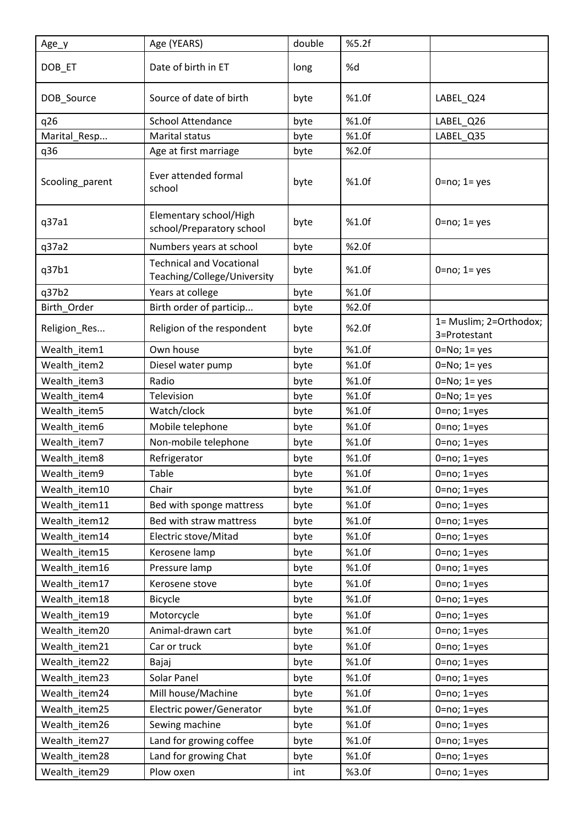| Age_y           | Age (YEARS)                                                    | double | %5.2f |                                        |
|-----------------|----------------------------------------------------------------|--------|-------|----------------------------------------|
| DOB_ET          | Date of birth in ET                                            | long   | %d    |                                        |
| DOB_Source      | Source of date of birth                                        | byte   | %1.0f | LABEL Q24                              |
| q26             | <b>School Attendance</b>                                       | byte   | %1.0f | LABEL_Q26                              |
| Marital_Resp    | Marital status                                                 | byte   | %1.0f | LABEL_Q35                              |
| q36             | Age at first marriage                                          | byte   | %2.0f |                                        |
| Scooling_parent | Ever attended formal<br>school                                 | byte   | %1.0f | $0 = no; 1 = yes$                      |
| q37a1           | Elementary school/High<br>school/Preparatory school            | byte   | %1.0f | $0 = no; 1 = yes$                      |
| q37a2           | Numbers years at school                                        | byte   | %2.0f |                                        |
| q37b1           | <b>Technical and Vocational</b><br>Teaching/College/University | byte   | %1.0f | $0 = no; 1 = yes$                      |
| q37b2           | Years at college                                               | byte   | %1.0f |                                        |
| Birth_Order     | Birth order of particip                                        | byte   | %2.0f |                                        |
| Religion_Res    | Religion of the respondent                                     | byte   | %2.0f | 1= Muslim; 2=Orthodox;<br>3=Protestant |
| Wealth_item1    | Own house                                                      | byte   | %1.0f | $0 = No; 1 = yes$                      |
| Wealth_item2    | Diesel water pump                                              | byte   | %1.0f | $0 = No; 1 = yes$                      |
| Wealth_item3    | Radio                                                          | byte   | %1.0f | $0=No; 1=yes$                          |
| Wealth item4    | Television                                                     | byte   | %1.0f | $0=No; 1=yes$                          |
| Wealth_item5    | Watch/clock                                                    | byte   | %1.0f | $0 = no; 1 = yes$                      |
| Wealth_item6    | Mobile telephone                                               | byte   | %1.0f | $0 = no; 1 = yes$                      |
| Wealth item7    | Non-mobile telephone                                           | byte   | %1.0f | $0 = no; 1 = yes$                      |
| Wealth_item8    | Refrigerator                                                   | byte   | %1.0f | $0 = no; 1 = yes$                      |
| Wealth_item9    | Table                                                          | byte   | %1.0f | $0=no; 1=yes$                          |
| Wealth_item10   | Chair                                                          | byte   | %1.0f | $0 = no; 1 = yes$                      |
| Wealth_item11   | Bed with sponge mattress                                       | byte   | %1.0f | $0 = no; 1 = yes$                      |
| Wealth item12   | Bed with straw mattress                                        | byte   | %1.0f | $0 = no; 1 = yes$                      |
| Wealth_item14   | Electric stove/Mitad                                           | byte   | %1.0f | $0 = no; 1 = yes$                      |
| Wealth_item15   | Kerosene lamp                                                  | byte   | %1.0f | $0 = no; 1 = yes$                      |
| Wealth_item16   | Pressure lamp                                                  | byte   | %1.0f | $0 = no; 1 = yes$                      |
| Wealth_item17   | Kerosene stove                                                 | byte   | %1.0f | $0 = no; 1 = yes$                      |
| Wealth_item18   | Bicycle                                                        | byte   | %1.0f | $0 = no; 1 = yes$                      |
| Wealth_item19   | Motorcycle                                                     | byte   | %1.0f | $0 = no; 1 = yes$                      |
| Wealth_item20   | Animal-drawn cart                                              | byte   | %1.0f | $0 = no; 1 = yes$                      |
| Wealth_item21   | Car or truck                                                   | byte   | %1.0f | $0 = no; 1 = yes$                      |
| Wealth_item22   | Bajaj                                                          | byte   | %1.0f | $0 = no; 1 = yes$                      |
| Wealth_item23   | Solar Panel                                                    | byte   | %1.0f | $0 = no; 1 = yes$                      |
| Wealth_item24   | Mill house/Machine                                             | byte   | %1.0f | $0 = no; 1 = yes$                      |
| Wealth_item25   | Electric power/Generator                                       | byte   | %1.0f | $0 = no; 1 = yes$                      |
| Wealth_item26   | Sewing machine                                                 | byte   | %1.0f | $0 = no; 1 = yes$                      |
| Wealth_item27   | Land for growing coffee                                        | byte   | %1.0f | $0 = no; 1 = yes$                      |
| Wealth_item28   | Land for growing Chat                                          | byte   | %1.0f | $0 = no; 1 = yes$                      |
| Wealth_item29   | Plow oxen                                                      | int    | %3.0f | $0 = no; 1 = yes$                      |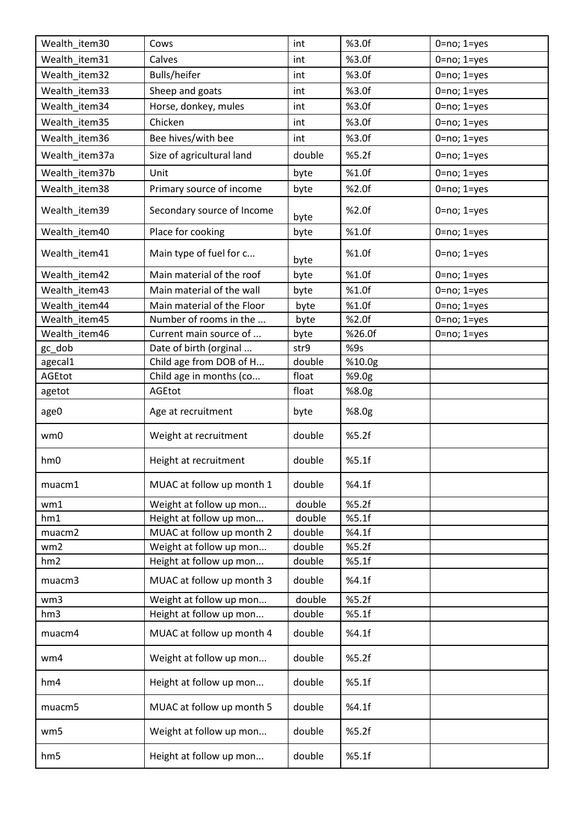| Wealth_item30   | Cows                       | int    | %3.0f  | $0 = no; 1 = yes$ |
|-----------------|----------------------------|--------|--------|-------------------|
| Wealth_item31   | Calves                     | int    | %3.0f  | $0 = no; 1 = yes$ |
| Wealth_item32   | Bulls/heifer               | int    | %3.0f  | $0 = no; 1 = yes$ |
| Wealth item33   | Sheep and goats            | int    | %3.0f  | $0 = no; 1 = yes$ |
| Wealth_item34   | Horse, donkey, mules       | int    | %3.0f  | $0 = no; 1 = yes$ |
| Wealth_item35   | Chicken                    | int    | %3.0f  | $0 = no; 1 = yes$ |
| Wealth_item36   | Bee hives/with bee         | int    | %3.0f  | $0 = no; 1 = yes$ |
| Wealth_item37a  | Size of agricultural land  | double | %5.2f  | $0 = no; 1 = yes$ |
| Wealth_item37b  | Unit                       | byte   | %1.0f  | $0 = no; 1 = yes$ |
| Wealth_item38   | Primary source of income   | byte   | %2.0f  | $0 = no; 1 = yes$ |
| Wealth_item39   | Secondary source of Income | byte   | %2.0f  | $0 = no; 1 = yes$ |
| Wealth_item40   | Place for cooking          | byte   | %1.0f  | $0 = no; 1 = yes$ |
| Wealth_item41   | Main type of fuel for c    | byte   | %1.0f  | $0 = no; 1 = yes$ |
| Wealth item42   | Main material of the roof  | byte   | %1.0f  | $0 = no; 1 = yes$ |
| Wealth_item43   | Main material of the wall  | byte   | %1.0f  | $0 = no; 1 = yes$ |
| Wealth item44   | Main material of the Floor | byte   | %1.0f  | $0 = no; 1 = yes$ |
| Wealth item45   | Number of rooms in the     | byte   | %2.0f  | $0 = no; 1 = yes$ |
| Wealth item46   | Current main source of     | byte   | %26.0f | $0 = no; 1 = yes$ |
| gc_dob          | Date of birth (orginal     | str9   | %9s    |                   |
| agecal1         | Child age from DOB of H    | double | %10.0g |                   |
| AGEtot          | Child age in months (co    | float  | %9.0g  |                   |
| agetot          | AGEtot                     | float  | %8.0g  |                   |
|                 |                            |        |        |                   |
| age0            | Age at recruitment         | byte   | %8.0g  |                   |
| wm0             | Weight at recruitment      | double | %5.2f  |                   |
| hm0             | Height at recruitment      | double | %5.1f  |                   |
| muacm1          | MUAC at follow up month 1  | double | %4.1f  |                   |
| wm1             | Weight at follow up mon    | double | %5.2f  |                   |
| hm1             | Height at follow up mon    | double | %5.1f  |                   |
| muacm2          | MUAC at follow up month 2  | double | %4.1f  |                   |
| wm <sub>2</sub> | Weight at follow up mon    | double | %5.2f  |                   |
| hm2             | Height at follow up mon    | double | %5.1f  |                   |
| muacm3          | MUAC at follow up month 3  | double | %4.1f  |                   |
| wm3             | Weight at follow up mon    | double | %5.2f  |                   |
| hm3             | Height at follow up mon    | double | %5.1f  |                   |
| muacm4          | MUAC at follow up month 4  | double | %4.1f  |                   |
| wm4             | Weight at follow up mon    | double | %5.2f  |                   |
| hm4             | Height at follow up mon    | double | %5.1f  |                   |
| muacm5          | MUAC at follow up month 5  | double | %4.1f  |                   |
| wm5             | Weight at follow up mon    | double | %5.2f  |                   |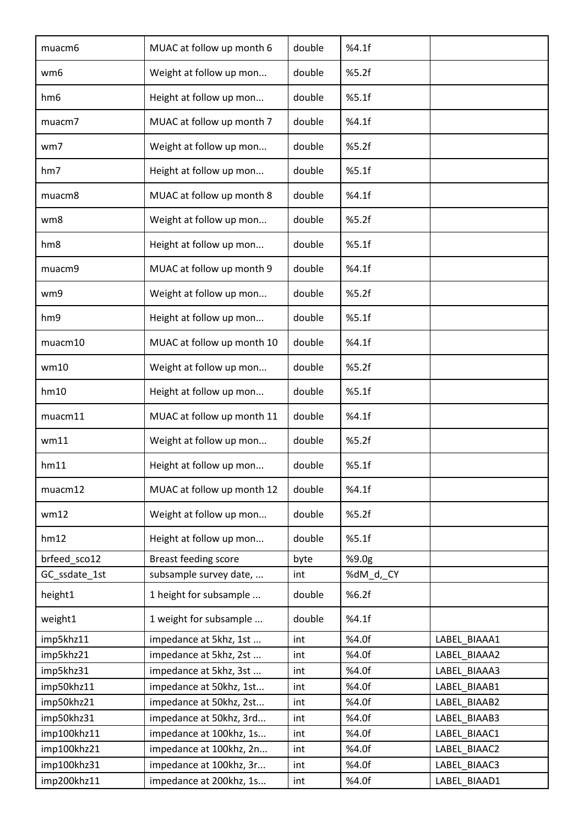| muacm <sub>6</sub> | MUAC at follow up month 6   | double | %4.1f     |              |
|--------------------|-----------------------------|--------|-----------|--------------|
| wm <sub>6</sub>    | Weight at follow up mon     | double | %5.2f     |              |
| hm <sub>6</sub>    | Height at follow up mon     | double | %5.1f     |              |
| muacm7             | MUAC at follow up month 7   | double | %4.1f     |              |
| wm7                | Weight at follow up mon     | double | %5.2f     |              |
| hm7                | Height at follow up mon     | double | %5.1f     |              |
| muacm8             | MUAC at follow up month 8   | double | %4.1f     |              |
| wm8                | Weight at follow up mon     | double | %5.2f     |              |
| hm <sub>8</sub>    | Height at follow up mon     | double | %5.1f     |              |
| muacm9             | MUAC at follow up month 9   | double | %4.1f     |              |
| wm9                | Weight at follow up mon     | double | %5.2f     |              |
| hm9                | Height at follow up mon     | double | %5.1f     |              |
| muacm10            | MUAC at follow up month 10  | double | %4.1f     |              |
| wm10               | Weight at follow up mon     | double | %5.2f     |              |
| hm10               | Height at follow up mon     | double | %5.1f     |              |
| muacm11            | MUAC at follow up month 11  | double | %4.1f     |              |
| wm11               | Weight at follow up mon     | double | %5.2f     |              |
| hm11               | Height at follow up mon     | double | %5.1f     |              |
| muacm12            | MUAC at follow up month 12  | double | %4.1f     |              |
| wm12               | Weight at follow up mon     | double | %5.2f     |              |
| hm12               | Height at follow up mon     | double | %5.1f     |              |
| brfeed sco12       | <b>Breast feeding score</b> | byte   | %9.0g     |              |
| GC_ssdate_1st      | subsample survey date,      | int    | %dM_d,_CY |              |
| height1            | 1 height for subsample      | double | %6.2f     |              |
| weight1            | 1 weight for subsample      | double | %4.1f     |              |
| imp5khz11          | impedance at 5khz, 1st      | int    | %4.0f     | LABEL BIAAA1 |
| imp5khz21          | impedance at 5khz, 2st      | int    | %4.0f     | LABEL BIAAA2 |
| imp5khz31          | impedance at 5khz, 3st      | int    | %4.0f     | LABEL BIAAA3 |
| imp50khz11         | impedance at 50khz, 1st     | int    | %4.0f     | LABEL BIAAB1 |
| imp50khz21         | impedance at 50khz, 2st     | int    | %4.0f     | LABEL BIAAB2 |
| imp50khz31         | impedance at 50khz, 3rd     | int    | %4.0f     | LABEL BIAAB3 |
| imp100khz11        | impedance at 100khz, 1s     | int    | %4.0f     | LABEL_BIAAC1 |
| imp100khz21        | impedance at 100khz, 2n     | int    | %4.0f     | LABEL BIAAC2 |
| imp100khz31        | impedance at 100khz, 3r     | int    | %4.0f     | LABEL BIAAC3 |
| imp200khz11        | impedance at 200khz, 1s     | int    | %4.0f     | LABEL_BIAAD1 |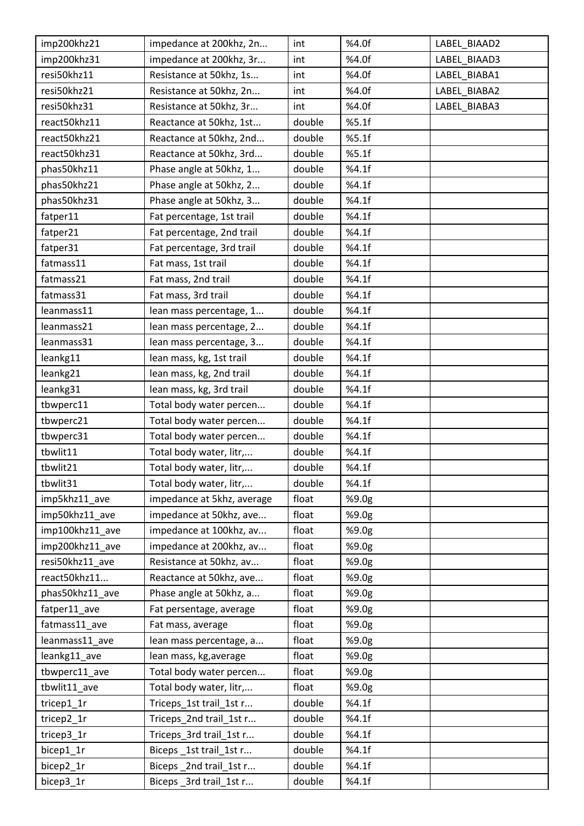| imp200khz21     | impedance at 200khz, 2n    | int    | %4.0f | LABEL BIAAD2 |
|-----------------|----------------------------|--------|-------|--------------|
| imp200khz31     | impedance at 200khz, 3r    | int    | %4.0f | LABEL BIAAD3 |
| resi50khz11     | Resistance at 50khz, 1s    | int    | %4.0f | LABEL_BIABA1 |
| resi50khz21     | Resistance at 50khz, 2n    | int    | %4.0f | LABEL BIABA2 |
| resi50khz31     | Resistance at 50khz, 3r    | int    | %4.0f | LABEL BIABA3 |
| react50khz11    | Reactance at 50khz, 1st    | double | %5.1f |              |
| react50khz21    | Reactance at 50khz, 2nd    | double | %5.1f |              |
| react50khz31    | Reactance at 50khz, 3rd    | double | %5.1f |              |
| phas50khz11     | Phase angle at 50khz, 1    | double | %4.1f |              |
| phas50khz21     | Phase angle at 50khz, 2    | double | %4.1f |              |
| phas50khz31     | Phase angle at 50khz, 3    | double | %4.1f |              |
| fatper11        | Fat percentage, 1st trail  | double | %4.1f |              |
| fatper21        | Fat percentage, 2nd trail  | double | %4.1f |              |
| fatper31        | Fat percentage, 3rd trail  | double | %4.1f |              |
| fatmass11       | Fat mass, 1st trail        | double | %4.1f |              |
| fatmass21       | Fat mass, 2nd trail        | double | %4.1f |              |
| fatmass31       | Fat mass, 3rd trail        | double | %4.1f |              |
| leanmass11      | lean mass percentage, 1    | double | %4.1f |              |
| leanmass21      | lean mass percentage, 2    | double | %4.1f |              |
| leanmass31      | lean mass percentage, 3    | double | %4.1f |              |
| leankg11        | lean mass, kg, 1st trail   | double | %4.1f |              |
| leankg21        | lean mass, kg, 2nd trail   | double | %4.1f |              |
| leankg31        | lean mass, kg, 3rd trail   | double | %4.1f |              |
| tbwperc11       | Total body water percen    | double | %4.1f |              |
| tbwperc21       | Total body water percen    | double | %4.1f |              |
| tbwperc31       | Total body water percen    | double | %4.1f |              |
| tbwlit11        | Total body water, litr,    | double | %4.1f |              |
| tbwlit21        | Total body water, litr,    | double | %4.1f |              |
| tbwlit31        | Total body water, litr,    | double | %4.1f |              |
| imp5khz11_ave   | impedance at 5khz, average | float  | %9.0g |              |
| imp50khz11_ave  | impedance at 50khz, ave    | float  | %9.0g |              |
| imp100khz11_ave | impedance at 100khz, av    | float  | %9.0g |              |
| imp200khz11 ave | impedance at 200khz, av    | float  | %9.0g |              |
| resi50khz11_ave | Resistance at 50khz, av    | float  | %9.0g |              |
| react50khz11    | Reactance at 50khz, ave    | float  | %9.0g |              |
| phas50khz11 ave | Phase angle at 50khz, a    | float  | %9.0g |              |
| fatper11_ave    | Fat persentage, average    | float  | %9.0g |              |
| fatmass11_ave   | Fat mass, average          | float  | %9.0g |              |
| leanmass11 ave  | lean mass percentage, a    | float  | %9.0g |              |
| leankg11_ave    | lean mass, kg, average     | float  | %9.0g |              |
| tbwperc11_ave   | Total body water percen    | float  | %9.0g |              |
| tbwlit11_ave    | Total body water, litr,    | float  | %9.0g |              |
| tricep1_1r      | Triceps_1st trail_1st r    | double | %4.1f |              |
| tricep2_1r      | Triceps_2nd trail_1st r    | double | %4.1f |              |
| tricep3_1r      | Triceps_3rd trail_1st r    | double | %4.1f |              |
| bicep1_1r       | Biceps _1st trail_1st r    | double | %4.1f |              |
| bicep2_1r       | Biceps _2nd trail_1st r    | double | %4.1f |              |
| bicep3_1r       | Biceps _3rd trail_1st r    | double | %4.1f |              |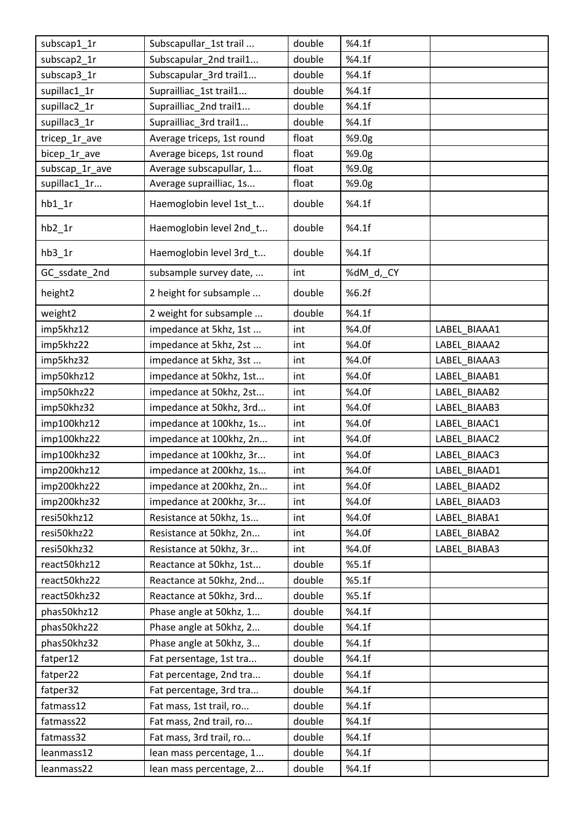| subscap1_1r    | Subscapullar_1st trail     | double | %4.1f     |              |
|----------------|----------------------------|--------|-----------|--------------|
| subscap2_1r    | Subscapular_2nd trail1     | double | %4.1f     |              |
| subscap3_1r    | Subscapular_3rd trail1     | double | %4.1f     |              |
| supillac1_1r   | Suprailliac 1st trail1     | double | %4.1f     |              |
| supillac2_1r   | Suprailliac_2nd trail1     | double | %4.1f     |              |
| supillac3_1r   | Suprailliac 3rd trail1     | double | %4.1f     |              |
| tricep_1r_ave  | Average triceps, 1st round | float  | %9.0g     |              |
| bicep 1r ave   | Average biceps, 1st round  | float  | %9.0g     |              |
| subscap_1r_ave | Average subscapullar, 1    | float  | %9.0g     |              |
| supillac1_1r   | Average suprailliac, 1s    | float  | %9.0g     |              |
| $hb1_1r$       | Haemoglobin level 1st_t    | double | %4.1f     |              |
| $hb2_1r$       | Haemoglobin level 2nd_t    | double | %4.1f     |              |
| $hb3_1r$       | Haemoglobin level 3rd_t    | double | %4.1f     |              |
| GC_ssdate_2nd  | subsample survey date,     | int    | %dM_d,_CY |              |
| height2        | 2 height for subsample     | double | %6.2f     |              |
| weight2        | 2 weight for subsample     | double | %4.1f     |              |
| imp5khz12      | impedance at 5khz, 1st     | int    | %4.0f     | LABEL BIAAA1 |
| imp5khz22      | impedance at 5khz, 2st     | int    | %4.0f     | LABEL BIAAA2 |
| imp5khz32      | impedance at 5khz, 3st     | int    | %4.0f     | LABEL BIAAA3 |
| imp50khz12     | impedance at 50khz, 1st    | int    | %4.0f     | LABEL BIAAB1 |
| imp50khz22     | impedance at 50khz, 2st    | int    | %4.0f     | LABEL_BIAAB2 |
| imp50khz32     | impedance at 50khz, 3rd    | int    | %4.0f     | LABEL_BIAAB3 |
| imp100khz12    | impedance at 100khz, 1s    | int    | %4.0f     | LABEL BIAAC1 |
| imp100khz22    | impedance at 100khz, 2n    | int    | %4.0f     | LABEL_BIAAC2 |
| imp100khz32    | impedance at 100khz, 3r    | int    | %4.0f     | LABEL_BIAAC3 |
| imp200khz12    | impedance at 200khz, 1s    | int    | %4.0f     | LABEL BIAAD1 |
| imp200khz22    | impedance at 200khz, 2n    | int    | %4.0f     | LABEL BIAAD2 |
| imp200khz32    | impedance at 200khz, 3r    | int    | %4.0f     | LABEL BIAAD3 |
| resi50khz12    | Resistance at 50khz, 1s    | int    | %4.0f     | LABEL BIABA1 |
| resi50khz22    | Resistance at 50khz, 2n    | int    | %4.0f     | LABEL_BIABA2 |
| resi50khz32    | Resistance at 50khz, 3r    | int    | %4.0f     | LABEL BIABA3 |
| react50khz12   | Reactance at 50khz, 1st    | double | %5.1f     |              |
| react50khz22   | Reactance at 50khz, 2nd    | double | %5.1f     |              |
| react50khz32   | Reactance at 50khz, 3rd    | double | %5.1f     |              |
| phas50khz12    | Phase angle at 50khz, 1    | double | %4.1f     |              |
| phas50khz22    | Phase angle at 50khz, 2    | double | %4.1f     |              |
| phas50khz32    | Phase angle at 50khz, 3    | double | %4.1f     |              |
| fatper12       | Fat persentage, 1st tra    | double | %4.1f     |              |
| fatper22       | Fat percentage, 2nd tra    | double | %4.1f     |              |
| fatper32       | Fat percentage, 3rd tra    | double | %4.1f     |              |
| fatmass12      | Fat mass, 1st trail, ro    | double | %4.1f     |              |
| fatmass22      | Fat mass, 2nd trail, ro    | double | %4.1f     |              |
| fatmass32      | Fat mass, 3rd trail, ro    | double | %4.1f     |              |
| leanmass12     | lean mass percentage, 1    | double | %4.1f     |              |
| leanmass22     | lean mass percentage, 2    | double | %4.1f     |              |